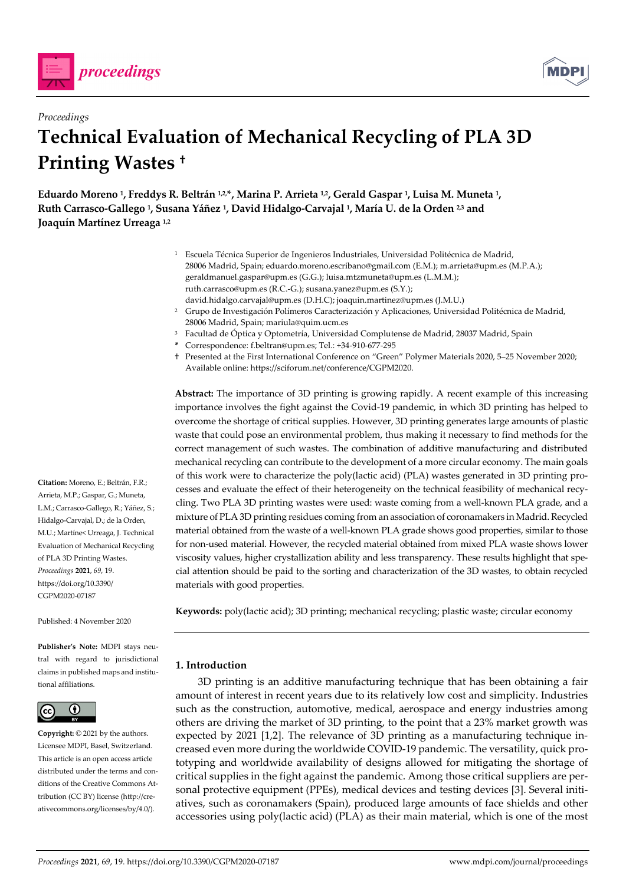



# *Proceedings*  **Technical Evaluation of Mechanical Recycling of PLA 3D Printing Wastes †**

**Eduardo Moreno 1, Freddys R. Beltrán 1,2,\*, Marina P. Arrieta 1,2, Gerald Gaspar 1, Luisa M. Muneta 1, Ruth Carrasco-Gallego 1, Susana Yáñez 1, David Hidalgo-Carvajal 1, María U. de la Orden 2,3 and Joaquín Martínez Urreaga 1,2**

- 1 Escuela Técnica Superior de Ingenieros Industriales, Universidad Politécnica de Madrid, 28006 Madrid, Spain; eduardo.moreno.escribano@gmail.com (E.M.); m.arrieta@upm.es (M.P.A.); geraldmanuel.gaspar@upm.es (G.G.); luisa.mtzmuneta@upm.es (L.M.M.); ruth.carrasco@upm.es (R.C.-G.); susana.yanez@upm.es (S.Y.); david.hidalgo.carvajal@upm.es (D.H.C); joaquin.martinez@upm.es (J.M.U.)
- 2 Grupo de Investigación Polímeros Caracterización y Aplicaciones, Universidad Politécnica de Madrid, 28006 Madrid, Spain; mariula@quim.ucm.es
- 3 Facultad de Óptica y Optometría, Universidad Complutense de Madrid, 28037 Madrid, Spain
- **\*** Correspondence: f.beltran@upm.es; Tel.: +34-910-677-295
- † Presented at the First International Conference on "Green" Polymer Materials 2020, 5–25 November 2020; Available online: https://sciforum.net/conference/CGPM2020.

**Abstract:** The importance of 3D printing is growing rapidly. A recent example of this increasing importance involves the fight against the Covid-19 pandemic, in which 3D printing has helped to overcome the shortage of critical supplies. However, 3D printing generates large amounts of plastic waste that could pose an environmental problem, thus making it necessary to find methods for the correct management of such wastes. The combination of additive manufacturing and distributed mechanical recycling can contribute to the development of a more circular economy. The main goals of this work were to characterize the poly(lactic acid) (PLA) wastes generated in 3D printing processes and evaluate the effect of their heterogeneity on the technical feasibility of mechanical recycling. Two PLA 3D printing wastes were used: waste coming from a well-known PLA grade, and a mixture of PLA 3D printing residues coming from an association of coronamakers in Madrid. Recycled material obtained from the waste of a well-known PLA grade shows good properties, similar to those for non-used material. However, the recycled material obtained from mixed PLA waste shows lower viscosity values, higher crystallization ability and less transparency. These results highlight that special attention should be paid to the sorting and characterization of the 3D wastes, to obtain recycled materials with good properties.

**Keywords:** poly(lactic acid); 3D printing; mechanical recycling; plastic waste; circular economy

## **1. Introduction**

3D printing is an additive manufacturing technique that has been obtaining a fair amount of interest in recent years due to its relatively low cost and simplicity. Industries such as the construction, automotive, medical, aerospace and energy industries among others are driving the market of 3D printing, to the point that a 23% market growth was expected by 2021 [1,2]. The relevance of 3D printing as a manufacturing technique increased even more during the worldwide COVID-19 pandemic. The versatility, quick prototyping and worldwide availability of designs allowed for mitigating the shortage of critical supplies in the fight against the pandemic. Among those critical suppliers are personal protective equipment (PPEs), medical devices and testing devices [3]. Several initiatives, such as coronamakers (Spain), produced large amounts of face shields and other accessories using poly(lactic acid) (PLA) as their main material, which is one of the most

**Citation:** Moreno, E.; Beltrán, F.R.; Arrieta, M.P.; Gaspar, G.; Muneta, L.M.; Carrasco-Gallego, R.; Yáñez, S.; Hidalgo-Carvajal, D.; de la Orden, M.U.; Martíne< Urreaga, J. Technical Evaluation of Mechanical Recycling of PLA 3D Printing Wastes. *Proceedings* **2021**, *69*, 19. https://doi.org/10.3390/ CGPM2020-07187

Published: 4 November 2020

**Publisher's Note:** MDPI stays neutral with regard to jurisdictional claims in published maps and institutional affiliations.



**Copyright:** © 2021 by the authors. Licensee MDPI, Basel, Switzerland. This article is an open access article distributed under the terms and conditions of the Creative Commons Attribution (CC BY) license (http://creativecommons.org/licenses/by/4.0/).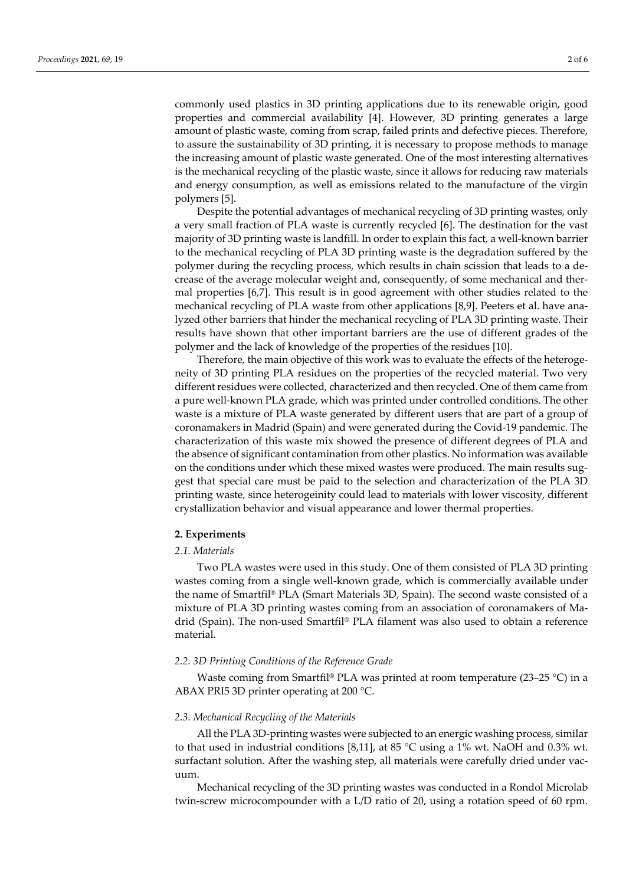commonly used plastics in 3D printing applications due to its renewable origin, good properties and commercial availability [4]. However, 3D printing generates a large amount of plastic waste, coming from scrap, failed prints and defective pieces. Therefore, to assure the sustainability of 3D printing, it is necessary to propose methods to manage the increasing amount of plastic waste generated. One of the most interesting alternatives is the mechanical recycling of the plastic waste, since it allows for reducing raw materials and energy consumption, as well as emissions related to the manufacture of the virgin polymers [5].

Despite the potential advantages of mechanical recycling of 3D printing wastes, only a very small fraction of PLA waste is currently recycled [6]. The destination for the vast majority of 3D printing waste is landfill. In order to explain this fact, a well-known barrier to the mechanical recycling of PLA 3D printing waste is the degradation suffered by the polymer during the recycling process, which results in chain scission that leads to a decrease of the average molecular weight and, consequently, of some mechanical and thermal properties [6,7]. This result is in good agreement with other studies related to the mechanical recycling of PLA waste from other applications [8,9]. Peeters et al. have analyzed other barriers that hinder the mechanical recycling of PLA 3D printing waste. Their results have shown that other important barriers are the use of different grades of the polymer and the lack of knowledge of the properties of the residues [10].

Therefore, the main objective of this work was to evaluate the effects of the heterogeneity of 3D printing PLA residues on the properties of the recycled material. Two very different residues were collected, characterized and then recycled. One of them came from a pure well-known PLA grade, which was printed under controlled conditions. The other waste is a mixture of PLA waste generated by different users that are part of a group of coronamakers in Madrid (Spain) and were generated during the Covid-19 pandemic. The characterization of this waste mix showed the presence of different degrees of PLA and the absence of significant contamination from other plastics. No information was available on the conditions under which these mixed wastes were produced. The main results suggest that special care must be paid to the selection and characterization of the PLA 3D printing waste, since heterogeinity could lead to materials with lower viscosity, different crystallization behavior and visual appearance and lower thermal properties.

## **2. Experiments**

## *2.1. Materials*

Two PLA wastes were used in this study. One of them consisted of PLA 3D printing wastes coming from a single well-known grade, which is commercially available under the name of Smartfil® PLA (Smart Materials 3D, Spain). The second waste consisted of a mixture of PLA 3D printing wastes coming from an association of coronamakers of Madrid (Spain). The non-used Smartfil® PLA filament was also used to obtain a reference material.

### *2.2. 3D Printing Conditions of the Reference Grade*

Waste coming from Smartfil® PLA was printed at room temperature (23–25 °C) in a ABAX PRI5 3D printer operating at 200 °C.

## *2.3. Mechanical Recycling of the Materials*

All the PLA 3D-printing wastes were subjected to an energic washing process, similar to that used in industrial conditions [8,11], at 85 °C using a 1% wt. NaOH and 0.3% wt. surfactant solution. After the washing step, all materials were carefully dried under vacuum.

Mechanical recycling of the 3D printing wastes was conducted in a Rondol Microlab twin-screw microcompounder with a L/D ratio of 20, using a rotation speed of 60 rpm.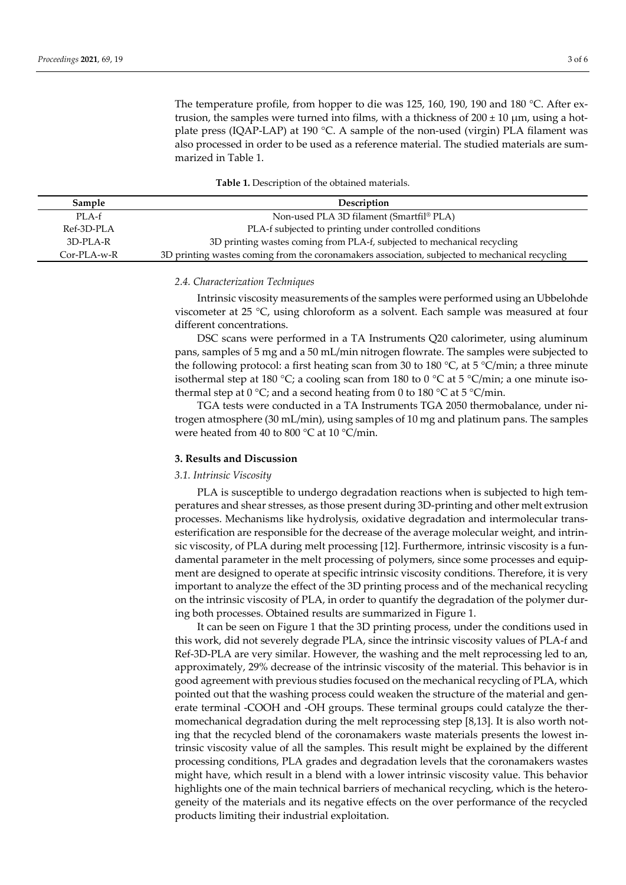The temperature profile, from hopper to die was 125, 160, 190, 190 and 180 °C. After extrusion, the samples were turned into films, with a thickness of  $200 \pm 10 \mu m$ , using a hotplate press (IQAP-LAP) at 190 °C. A sample of the non-used (virgin) PLA filament was also processed in order to be used as a reference material. The studied materials are summarized in Table 1.

**Table 1.** Description of the obtained materials.

| Sample        | Description                                                                                    |  |  |
|---------------|------------------------------------------------------------------------------------------------|--|--|
| PLA-f         | Non-used PLA 3D filament (Smartfil <sup>®</sup> PLA)                                           |  |  |
| Ref-3D-PLA    | PLA-f subjected to printing under controlled conditions                                        |  |  |
| 3D-PLA-R      | 3D printing wastes coming from PLA-f, subjected to mechanical recycling                        |  |  |
| $Cor-PLA-w-R$ | 3D printing wastes coming from the coronamakers association, subjected to mechanical recycling |  |  |

#### *2.4. Characterization Techniques*

Intrinsic viscosity measurements of the samples were performed using an Ubbelohde viscometer at 25 °C, using chloroform as a solvent. Each sample was measured at four different concentrations.

DSC scans were performed in a TA Instruments Q20 calorimeter, using aluminum pans, samples of 5 mg and a 50 mL/min nitrogen flowrate. The samples were subjected to the following protocol: a first heating scan from 30 to 180  $^{\circ}$ C, at 5  $^{\circ}$ C/min; a three minute isothermal step at 180 °C; a cooling scan from 180 to 0 °C at 5 °C/min; a one minute isothermal step at  $0^{\circ}C$ ; and a second heating from 0 to 180  $^{\circ}C$  at 5  $^{\circ}C/\text{min}$ .

TGA tests were conducted in a TA Instruments TGA 2050 thermobalance, under nitrogen atmosphere (30 mL/min), using samples of 10 mg and platinum pans. The samples were heated from 40 to 800 °C at 10 °C/min.

### **3. Results and Discussion**

## *3.1. Intrinsic Viscosity*

PLA is susceptible to undergo degradation reactions when is subjected to high temperatures and shear stresses, as those present during 3D-printing and other melt extrusion processes. Mechanisms like hydrolysis, oxidative degradation and intermolecular transesterification are responsible for the decrease of the average molecular weight, and intrinsic viscosity, of PLA during melt processing [12]. Furthermore, intrinsic viscosity is a fundamental parameter in the melt processing of polymers, since some processes and equipment are designed to operate at specific intrinsic viscosity conditions. Therefore, it is very important to analyze the effect of the 3D printing process and of the mechanical recycling on the intrinsic viscosity of PLA, in order to quantify the degradation of the polymer during both processes. Obtained results are summarized in Figure 1.

It can be seen on Figure 1 that the 3D printing process, under the conditions used in this work, did not severely degrade PLA, since the intrinsic viscosity values of PLA-f and Ref-3D-PLA are very similar. However, the washing and the melt reprocessing led to an, approximately, 29% decrease of the intrinsic viscosity of the material. This behavior is in good agreement with previous studies focused on the mechanical recycling of PLA, which pointed out that the washing process could weaken the structure of the material and generate terminal -COOH and -OH groups. These terminal groups could catalyze the thermomechanical degradation during the melt reprocessing step [8,13]. It is also worth noting that the recycled blend of the coronamakers waste materials presents the lowest intrinsic viscosity value of all the samples. This result might be explained by the different processing conditions, PLA grades and degradation levels that the coronamakers wastes might have, which result in a blend with a lower intrinsic viscosity value. This behavior highlights one of the main technical barriers of mechanical recycling, which is the heterogeneity of the materials and its negative effects on the over performance of the recycled products limiting their industrial exploitation.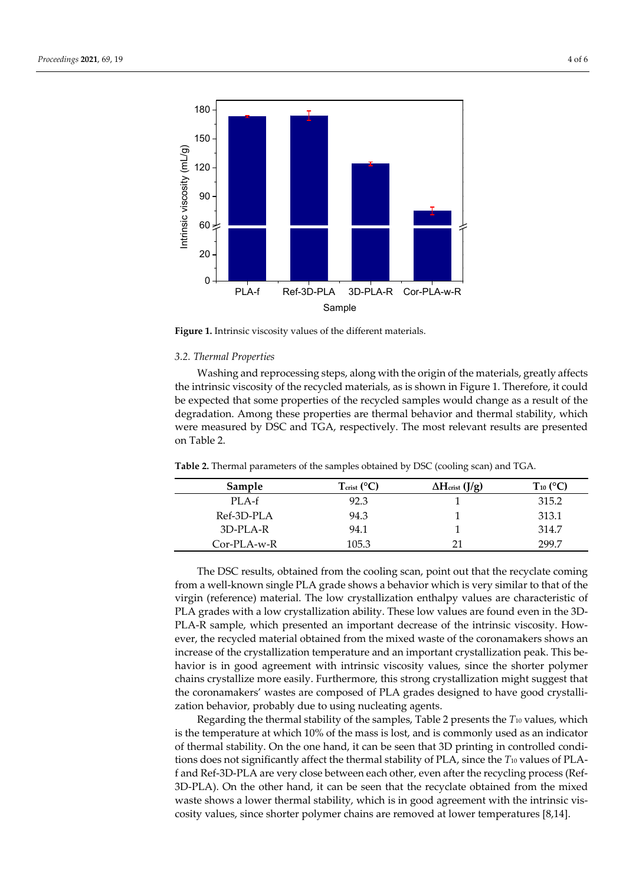

**Figure 1.** Intrinsic viscosity values of the different materials.

#### *3.2. Thermal Properties*

Washing and reprocessing steps, along with the origin of the materials, greatly affects the intrinsic viscosity of the recycled materials, as is shown in Figure 1. Therefore, it could be expected that some properties of the recycled samples would change as a result of the degradation. Among these properties are thermal behavior and thermal stability, which were measured by DSC and TGA, respectively. The most relevant results are presented on Table 2.

| Sample        | $T_{\text{crit}}$ (°C) | $\Delta H_{\text{crist}}$ (J/g) | $T_{10}$ (°C) |
|---------------|------------------------|---------------------------------|---------------|
| PLA-f         | 92.3                   |                                 | 315.2         |
| Ref-3D-PLA    | 94.3                   |                                 | 313.1         |
| 3D-PLA-R      | 94.1                   |                                 | 314.7         |
| $Cor-PLA-w-R$ | 105.3                  |                                 | 299.7         |

**Table 2.** Thermal parameters of the samples obtained by DSC (cooling scan) and TGA.

The DSC results, obtained from the cooling scan, point out that the recyclate coming from a well-known single PLA grade shows a behavior which is very similar to that of the virgin (reference) material. The low crystallization enthalpy values are characteristic of PLA grades with a low crystallization ability. These low values are found even in the 3D-PLA-R sample, which presented an important decrease of the intrinsic viscosity. However, the recycled material obtained from the mixed waste of the coronamakers shows an increase of the crystallization temperature and an important crystallization peak. This behavior is in good agreement with intrinsic viscosity values, since the shorter polymer chains crystallize more easily. Furthermore, this strong crystallization might suggest that the coronamakers' wastes are composed of PLA grades designed to have good crystallization behavior, probably due to using nucleating agents.

Regarding the thermal stability of the samples, Table 2 presents the *T*10 values, which is the temperature at which 10% of the mass is lost, and is commonly used as an indicator of thermal stability. On the one hand, it can be seen that 3D printing in controlled conditions does not significantly affect the thermal stability of PLA, since the *T*10 values of PLAf and Ref-3D-PLA are very close between each other, even after the recycling process (Ref-3D-PLA). On the other hand, it can be seen that the recyclate obtained from the mixed waste shows a lower thermal stability, which is in good agreement with the intrinsic viscosity values, since shorter polymer chains are removed at lower temperatures [8,14].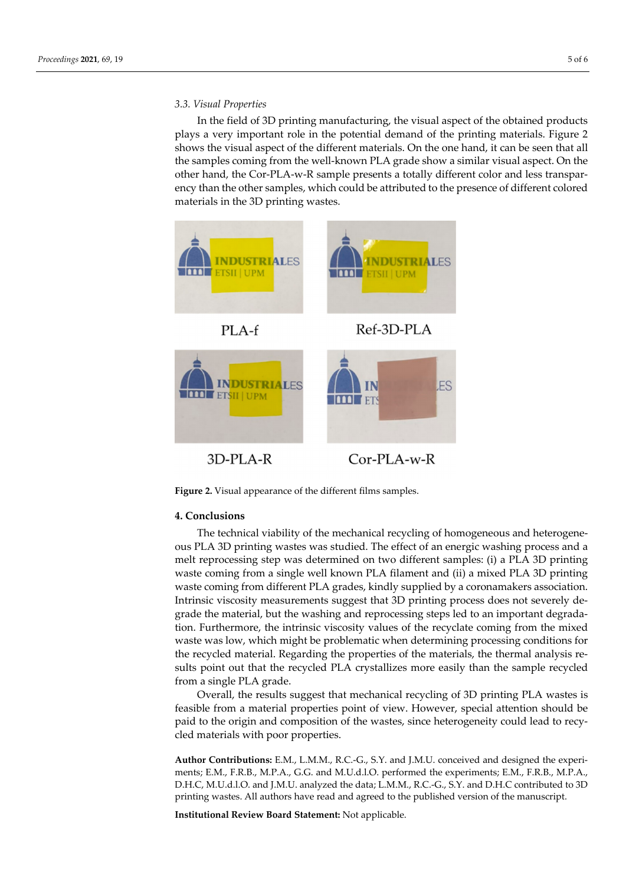## *3.3. Visual Properties*

In the field of 3D printing manufacturing, the visual aspect of the obtained products plays a very important role in the potential demand of the printing materials. Figure 2 shows the visual aspect of the different materials. On the one hand, it can be seen that all the samples coming from the well-known PLA grade show a similar visual aspect. On the other hand, the Cor-PLA-w-R sample presents a totally different color and less transparency than the other samples, which could be attributed to the presence of different colored materials in the 3D printing wastes.



**Figure 2.** Visual appearance of the different films samples.

#### **4. Conclusions**

The technical viability of the mechanical recycling of homogeneous and heterogeneous PLA 3D printing wastes was studied. The effect of an energic washing process and a melt reprocessing step was determined on two different samples: (i) a PLA 3D printing waste coming from a single well known PLA filament and (ii) a mixed PLA 3D printing waste coming from different PLA grades, kindly supplied by a coronamakers association. Intrinsic viscosity measurements suggest that 3D printing process does not severely degrade the material, but the washing and reprocessing steps led to an important degradation. Furthermore, the intrinsic viscosity values of the recyclate coming from the mixed waste was low, which might be problematic when determining processing conditions for the recycled material. Regarding the properties of the materials, the thermal analysis results point out that the recycled PLA crystallizes more easily than the sample recycled from a single PLA grade.

Overall, the results suggest that mechanical recycling of 3D printing PLA wastes is feasible from a material properties point of view. However, special attention should be paid to the origin and composition of the wastes, since heterogeneity could lead to recycled materials with poor properties.

**Author Contributions:** E.M., L.M.M., R.C.-G., S.Y. and J.M.U. conceived and designed the experiments; E.M., F.R.B., M.P.A., G.G. and M.U.d.l.O. performed the experiments; E.M., F.R.B., M.P.A., D.H.C, M.U.d.l.O. and J.M.U. analyzed the data; L.M.M., R.C.-G., S.Y. and D.H.C contributed to 3D printing wastes. All authors have read and agreed to the published version of the manuscript.

**Institutional Review Board Statement:** Not applicable.